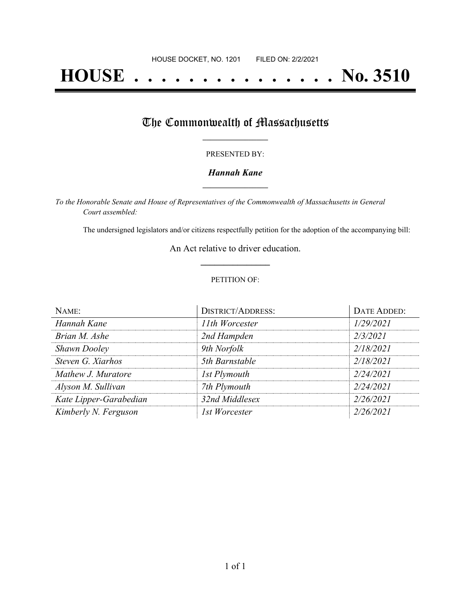# **HOUSE . . . . . . . . . . . . . . . No. 3510**

## The Commonwealth of Massachusetts

#### PRESENTED BY:

#### *Hannah Kane* **\_\_\_\_\_\_\_\_\_\_\_\_\_\_\_\_\_**

*To the Honorable Senate and House of Representatives of the Commonwealth of Massachusetts in General Court assembled:*

The undersigned legislators and/or citizens respectfully petition for the adoption of the accompanying bill:

An Act relative to driver education. **\_\_\_\_\_\_\_\_\_\_\_\_\_\_\_**

#### PETITION OF:

| NAME:                  | <b>DISTRICT/ADDRESS:</b> | DATE ADDED: |
|------------------------|--------------------------|-------------|
| Hannah Kane            | 11th Worcester           | 1/29/2021   |
| Brian M. Ashe          | 2nd Hampden              | 2/3/2021    |
| <b>Shawn Dooley</b>    | 9th Norfolk              | 2/18/2021   |
| Steven G. Xiarhos      | 5th Barnstable           | 2/18/2021   |
| Mathew J. Muratore     | 1st Plymouth             | 2/24/2021   |
| Alyson M. Sullivan     | 7th Plymouth             | 2/24/2021   |
| Kate Lipper-Garabedian | 32nd Middlesex           | 2/26/2021   |
| Kimberly N. Ferguson   | 1st Worcester            | 2/26/2021   |